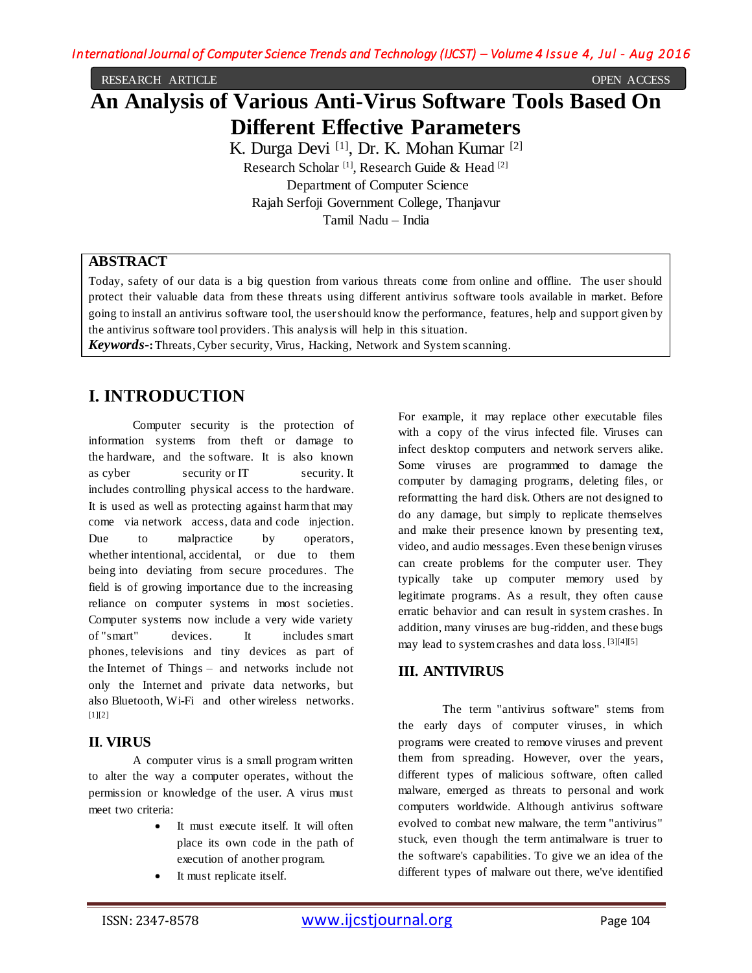RESEARCH ARTICLE OPEN ACCESS

# **An Analysis of Various Anti-Virus Software Tools Based On Different Effective Parameters**

K. Durga Devi [1], Dr. K. Mohan Kumar [2] Research Scholar<sup>[1]</sup>, Research Guide & Head<sup>[2]</sup> Department of Computer Science Rajah Serfoji Government College, Thanjavur Tamil Nadu – India

# **ABSTRACT**

Today, safety of our data is a big question from various threats come from online and offline. The user should protect their valuable data from these threats using different antivirus software tools available in market. Before going to install an antivirus software tool, the user should know the performance, features, help and support given by the antivirus software tool providers. This analysis will help in this situation.

*Keywords-***:**Threats, Cyber security, Virus, Hacking, Network and System scanning.

# **I. INTRODUCTION**

Computer security is the protection of information systems from theft or damage to the hardware, and the software. It is also known as cyber security or IT security. It includes controlling physical access to the hardware. It is used as well as protecting against harm that may come via network access, data and code injection. Due to malpractice by operators, whether intentional, accidental, or due to them being into deviating from secure procedures. The field is of growing importance due to the increasing reliance on computer systems in most societies. Computer systems now include a very wide variety of "smart" devices. It includes smart phones, televisions and tiny devices as part of the Internet of Things – and networks include not only the Internet and private data networks, but also Bluetooth, Wi-Fi and other wireless networks. [1][2]

#### **II. VIRUS**

A computer virus is a small program written to alter the way a computer operates, without the permission or knowledge of the user. A virus must meet two criteria:

- It must execute itself. It will often place its own code in the path of execution of another program.
- It must replicate itself.

For example, it may replace other executable files with a copy of the virus infected file. Viruses can infect desktop computers and network servers alike. Some viruses are programmed to damage the computer by damaging programs, deleting files, or reformatting the hard disk. Others are not designed to do any damage, but simply to replicate themselves and make their presence known by presenting text, video, and audio messages. Even these benign viruses can create problems for the computer user. They typically take up computer memory used by legitimate programs. As a result, they often cause erratic behavior and can result in system crashes. In addition, many viruses are bug-ridden, and these bugs may lead to system crashes and data loss. [3][4][5]

# **III. ANTIVIRUS**

The term "antivirus software" stems from the early days of computer viruses, in which programs were created to remove viruses and prevent them from spreading. However, over the years, different types of malicious software, often called malware, emerged as threats to personal and work computers worldwide. Although antivirus software evolved to combat new malware, the term "antivirus" stuck, even though the term antimalware is truer to the software's capabilities. To give we an idea of the different types of malware out there, we've identified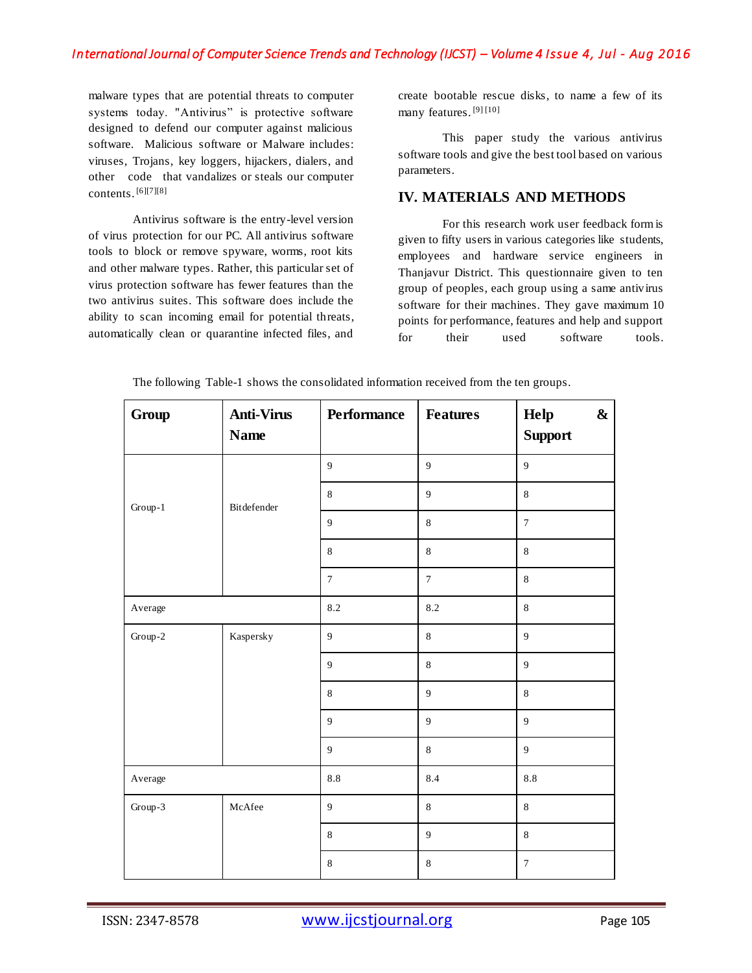malware types that are potential threats to computer systems today. "Antivirus" is protective software designed to defend our computer against malicious software. Malicious software or Malware includes: viruses, Trojans, key loggers, hijackers, dialers, and other code that vandalizes or steals our computer contents. [6][7][8]

Antivirus software is the entry-level version of virus protection for our PC. All antivirus software tools to block or remove spyware, worms, root kits and other malware types. Rather, this particular set of virus protection software has fewer features than the two antivirus suites. This software does include the ability to scan incoming email for potential threats, automatically clean or quarantine infected files, and create bootable rescue disks, to name a few of its many features. [9] [10]

This paper study the various antivirus software tools and give the best tool based on various parameters.

#### **IV. MATERIALS AND METHODS**

For this research work user feedback form is given to fifty users in various categories like students, employees and hardware service engineers in Thanjavur District. This questionnaire given to ten group of peoples, each group using a same antivirus software for their machines. They gave maximum 10 points for performance, features and help and support for their used software tools.

| Group   | <b>Anti-Virus</b><br><b>Name</b> | Performance      | <b>Features</b>  | Help<br>$\boldsymbol{\&}$<br><b>Support</b> |
|---------|----------------------------------|------------------|------------------|---------------------------------------------|
| Group-1 | Bitdefender                      | 9                | $\overline{9}$   | 9                                           |
|         |                                  | $\,8\,$          | $\overline{9}$   | $\,8\,$                                     |
|         |                                  | $\overline{9}$   | $\,8\,$          | $\overline{7}$                              |
|         |                                  | $\,8\,$          | $\,8\,$          | $\,8\,$                                     |
|         |                                  | $\boldsymbol{7}$ | $\boldsymbol{7}$ | $\,8\,$                                     |
| Average |                                  | 8.2              | 8.2              | $\,8\,$                                     |
| Group-2 | Kaspersky                        | $\overline{9}$   | $\,8\,$          | 9                                           |
|         |                                  | 9                | $\,8\,$          | 9                                           |
|         |                                  | $\,8\,$          | $\overline{9}$   | $\,8\,$                                     |
|         |                                  | 9                | $\overline{9}$   | 9                                           |
|         |                                  | 9                | $\,8\,$          | 9                                           |
| Average |                                  | $8.8\,$          | 8.4              | $8.8\,$                                     |
| Group-3 | McAfee                           | 9                | $\,8\,$          | $\,8\,$                                     |
|         |                                  | $\,8\,$          | $\overline{9}$   | $\,8\,$                                     |
|         |                                  | $\,8\,$          | $\,8\,$          | $\boldsymbol{7}$                            |

The following Table-1 shows the consolidated information received from the ten groups.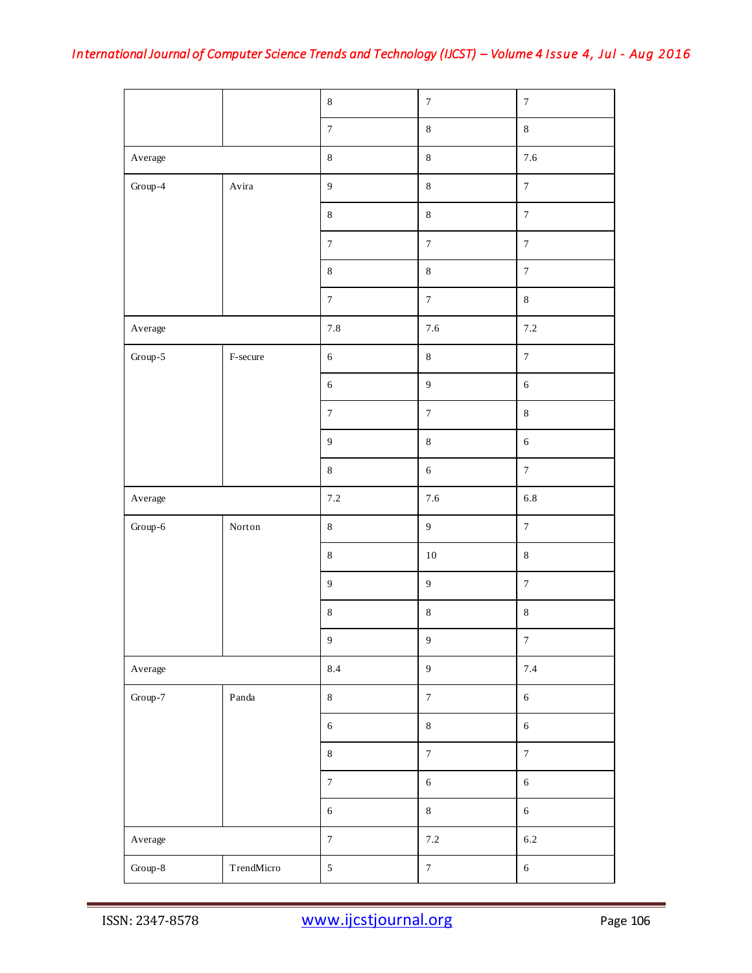|                            |                                  | $\,8\,$          | $\boldsymbol{7}$ | $\boldsymbol{7}$ |
|----------------------------|----------------------------------|------------------|------------------|------------------|
|                            |                                  | $\boldsymbol{7}$ | $\,8\,$          | $\,8\,$          |
| Average                    |                                  | $\,8\,$          | $\,8\,$          | 7.6              |
| Group-4<br>Avira           |                                  | $\boldsymbol{9}$ | $\,8\,$          | $\boldsymbol{7}$ |
|                            |                                  | $\,8\,$          | $\,8\,$          | $\boldsymbol{7}$ |
|                            |                                  | $\boldsymbol{7}$ | $\boldsymbol{7}$ | $\boldsymbol{7}$ |
|                            |                                  | $\,8\,$          | $\,8\,$          | $\boldsymbol{7}$ |
|                            |                                  | $\boldsymbol{7}$ | $\boldsymbol{7}$ | $\,8\,$          |
| Average                    |                                  | $7.8\,$          | $7.6\,$          | $7.2\,$          |
| $Group-5$                  | F-secure                         | $\sqrt{6}$       | $\,8\,$          | $\boldsymbol{7}$ |
|                            |                                  | $\sqrt{6}$       | $\overline{9}$   | $\sqrt{6}$       |
|                            |                                  | $\boldsymbol{7}$ | $\boldsymbol{7}$ | $\,8\,$          |
|                            |                                  | $\boldsymbol{9}$ | $\,8\,$          | $\sqrt{6}$       |
|                            |                                  | $\,8\,$          | $\sqrt{6}$       | $\boldsymbol{7}$ |
| Average                    |                                  | $7.2\,$          | $7.6\,$          | $6.8\,$          |
| Group-6<br>$\mbox{Norton}$ |                                  | $\,8\,$          | $\overline{9}$   | $\boldsymbol{7}$ |
|                            |                                  | $\,8\,$          | $10\,$           | $\,8\,$          |
|                            |                                  | $\boldsymbol{9}$ | $\boldsymbol{9}$ | $\boldsymbol{7}$ |
|                            |                                  | $\,8\,$          | $\,8\,$          | $\,8\,$          |
|                            |                                  | $\overline{9}$   | $\boldsymbol{9}$ | $\boldsymbol{7}$ |
| Average                    |                                  | 8.4              | $\overline{9}$   | 7.4              |
| Group-7                    | $\mathbf{P}\text{and}\mathbf{a}$ | $\bf 8$          | $\boldsymbol{7}$ | $\sqrt{6}$       |
|                            |                                  | $\sqrt{6}$       | $\,8\,$          | $\sqrt{6}$       |
|                            |                                  | $\bf 8$          | $\boldsymbol{7}$ | $\boldsymbol{7}$ |
|                            |                                  | $\boldsymbol{7}$ | $\sqrt{6}$       | $\sqrt{6}$       |
|                            |                                  | $\sqrt{6}$       | $\,8\,$          | $\sqrt{6}$       |
| Average                    |                                  | $\boldsymbol{7}$ | $7.2\,$          | $6.2\,$          |
| Group-8                    | $\operatorname{\sf TrendMicro}$  | 5                | $\boldsymbol{7}$ | $\sqrt{6}$       |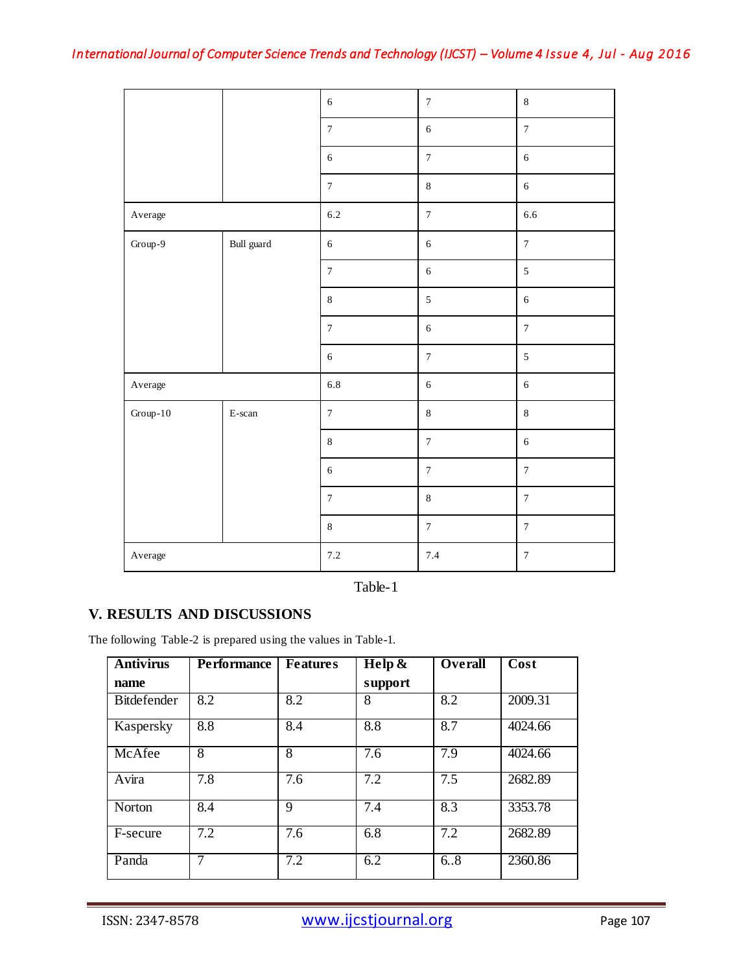|            |                         | $\sqrt{6}$       | $\boldsymbol{7}$ | $\,8\,$          |
|------------|-------------------------|------------------|------------------|------------------|
|            |                         | $\boldsymbol{7}$ | $\sqrt{6}$       | $\boldsymbol{7}$ |
|            |                         | $6\,$            | $\boldsymbol{7}$ | $6\,$            |
|            |                         | $\boldsymbol{7}$ | $\,8\,$          | $\sqrt{6}$       |
| Average    |                         | $6.2\,$          | $\boldsymbol{7}$ | 6.6              |
| $Group-9$  | Bull guard              | $\sqrt{6}$       | $\sqrt{6}$       | $\boldsymbol{7}$ |
|            |                         | $\boldsymbol{7}$ | $\sqrt{6}$       | $\sqrt{5}$       |
|            |                         | $\,8\,$          | $\sqrt{5}$       | 6                |
|            |                         | $\boldsymbol{7}$ | $\sqrt{6}$       | $\boldsymbol{7}$ |
|            |                         | $\sqrt{6}$       | $\boldsymbol{7}$ | $\mathfrak{S}$   |
| Average    |                         | 6.8              | $\sqrt{6}$       | $\sqrt{6}$       |
| $Group-10$ | $\operatorname{E-scan}$ | $\boldsymbol{7}$ | $\,8\,$          | $\,8\,$          |
|            |                         | $\,8\,$          | $\boldsymbol{7}$ | $\sqrt{6}$       |
|            |                         | $\sqrt{6}$       | $\boldsymbol{7}$ | $\boldsymbol{7}$ |
|            |                         | $\boldsymbol{7}$ | $\,8\,$          | $\boldsymbol{7}$ |
|            |                         | $\,8\,$          | $\boldsymbol{7}$ | $\boldsymbol{7}$ |
| Average    |                         | 7.2              | 7.4              | $\boldsymbol{7}$ |



# **V. RESULTS AND DISCUSSIONS**

The following Table-2 is prepared using the values in Table-1.

| <b>Antivirus</b>   | <b>Performance</b> | <b>Features</b> | Help $\&$ | <b>Overall</b> | Cost    |
|--------------------|--------------------|-----------------|-----------|----------------|---------|
| name               |                    |                 | support   |                |         |
| <b>Bitdefender</b> | 8.2                | 8.2             | 8         | 8.2            | 2009.31 |
| Kaspersky          | 8.8                | 8.4             | 8.8       | 8.7            | 4024.66 |
| McAfee             | 8                  | 8               | 7.6       | 7.9            | 4024.66 |
| Avira              | 7.8                | 7.6             | 7.2       | 7.5            | 2682.89 |
| Norton             | 8.4                | 9               | 7.4       | 8.3            | 3353.78 |
| F-secure           | 7.2                | 7.6             | 6.8       | 7.2            | 2682.89 |
| Panda              | 7                  | 7.2             | 6.2       | 6.8            | 2360.86 |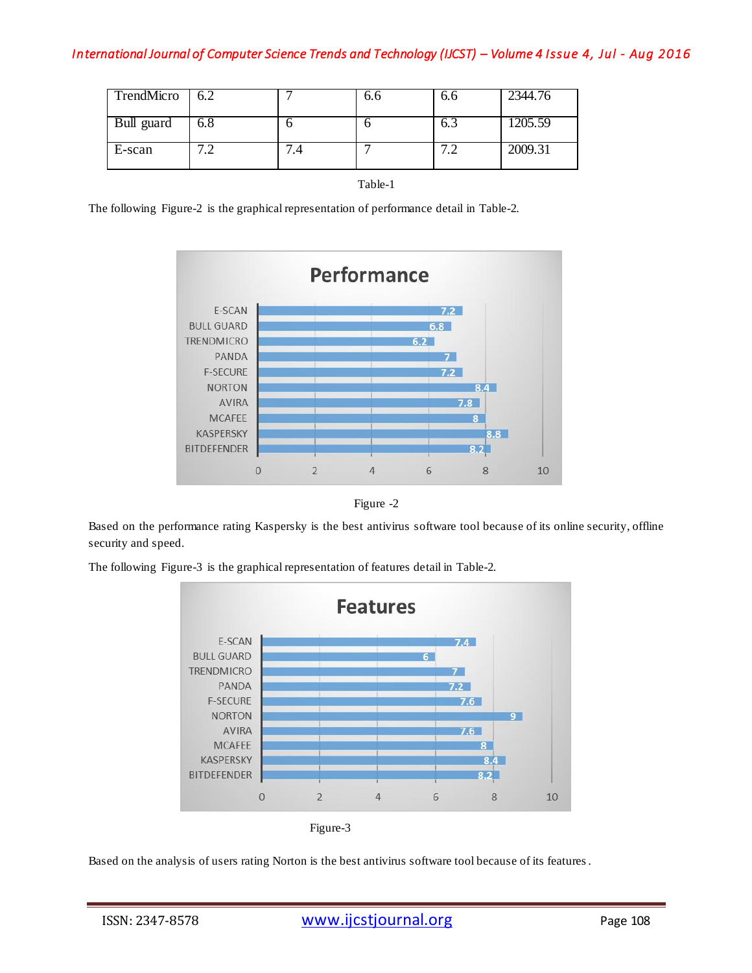| TrendMicro $\vert$ 6.2 |     |    | 0.0 | 0.0  | 2344.76 |
|------------------------|-----|----|-----|------|---------|
| Bull guard             | 6.8 |    |     | 0. J | 1205.59 |
| E-scan                 | ⇁   | ۰. |     |      | 2009.31 |

Table-1

The following Figure-2 is the graphical representation of performance detail in Table-2.





Based on the performance rating Kaspersky is the best antivirus software tool because of its online security, offline security and speed.



The following Figure-3 is the graphical representation of features detail in Table-2.

Based on the analysis of users rating Norton is the best antivirus software tool because of its features.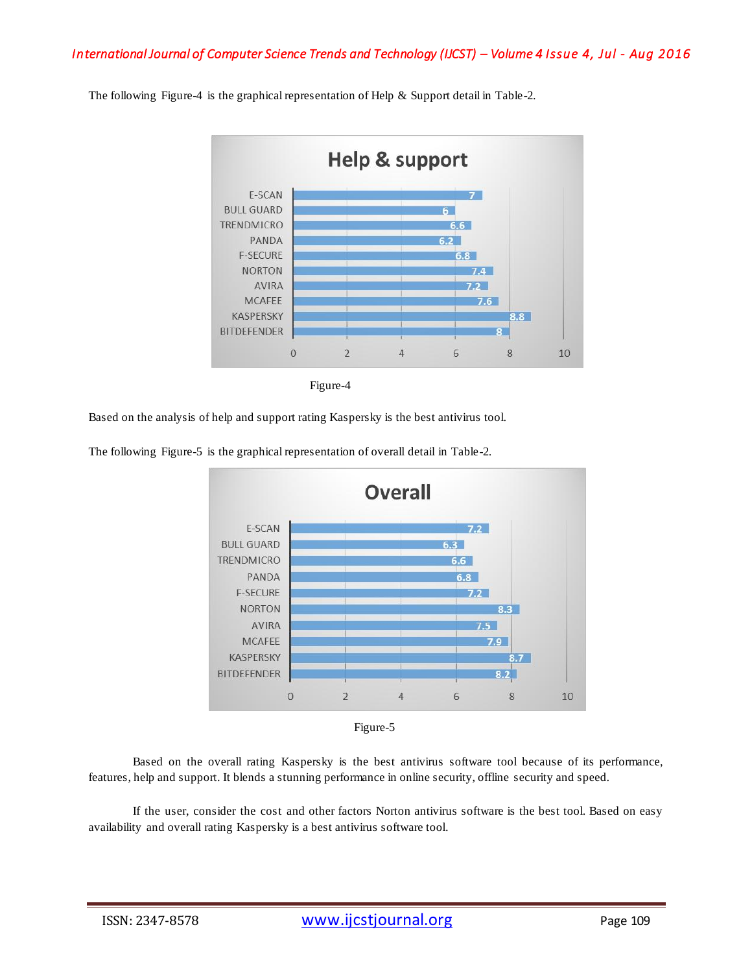

The following Figure-4 is the graphical representation of Help & Support detail in Table-2.



Based on the analysis of help and support rating Kaspersky is the best antivirus tool.

**Overall** E-SCAN  $7.2$ **BULL GUARD**  $6.3$ **TRENDMICRO**  $6.6$ PANDA  $6.8$ **F-SECURE**  $7.2$ **NORTON**  $8.3$ **AVIRA**  $7.5$ **MCAFEE**  $7.9$ KASPERSKY  $8.7$ **BITDEFENDER** 8.2  $\overline{0}$  $\overline{2}$  $\overline{4}$  $\sqrt{6}$  $\,8\,$ 10

The following Figure-5 is the graphical representation of overall detail in Table-2.



Based on the overall rating Kaspersky is the best antivirus software tool because of its performance, features, help and support. It blends a stunning performance in online security, offline security and speed.

If the user, consider the cost and other factors Norton antivirus software is the best tool. Based on easy availability and overall rating Kaspersky is a best antivirus software tool.